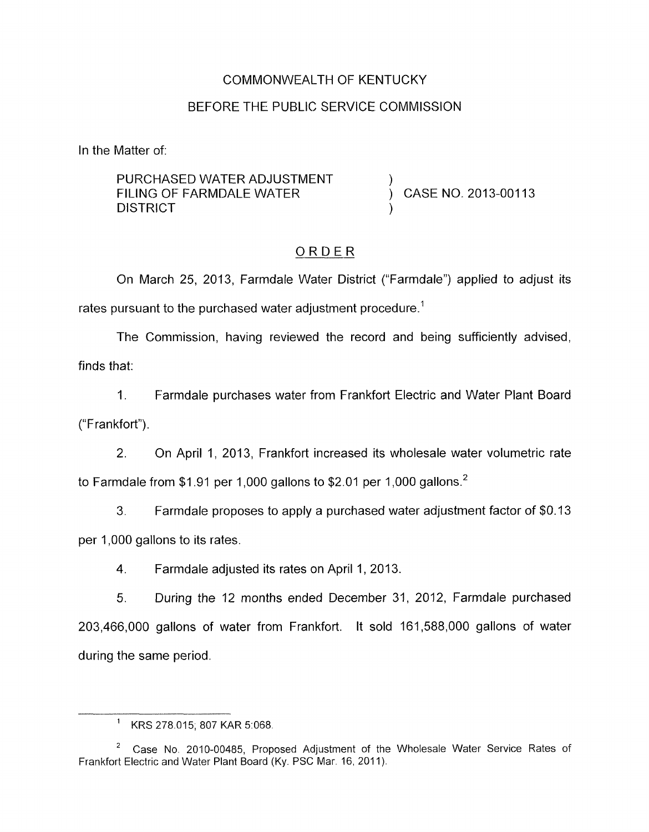### COMMONWEALTH OF KENTUCKY

## BEFORE THE PUBLIC SERVICE COMMISSION

In the Matter of:

PURCHASED WATER ADJUSTMENT **DISTRICT** FILING OF FARMDALE WATER  $\overrightarrow{)}$  CASE NO. 2013-00113

# ORDER

On March 25, 2013, Farmdale Water District ("Farmdale") applied to adjust its rates pursuant to the purchased water adjustment procedure.<sup>1</sup>

The Commission, having reviewed the record and being sufficiently advised, finds that:

1. Farmdale purchases water from Frankfort Electric and Water Plant Board ("Frankfort").

*2.* On April 1, 2013, Frankfort increased its wholesale water volumetric rate to Farmdale from \$1.91 per 1,000 gallons to \$2.01 per 1,000 gallons.<sup>2</sup>

3. Farmdale proposes to apply a purchased water adjustment factor of \$0.13 per 1,000 gallons to its rates.

4. Farmdale adjusted its rates on April 1, 2013.

5. During the 12 months ended December 31, 2012, Farmdale purchased 203,466,000 gallons of water from Frankfort. It sold 161,588,000 gallons of water during the same period.

<sup>&</sup>lt;sup>1</sup> KRS 278.015; 807 KAR 5:068.

Case No. 2010-00485, Proposed Adjustment of the Wholesale Water Service Rates of *<sup>2</sup>* Frankfort Electric and Water Plant Board (Ky. PSC Mar. 16, 2011).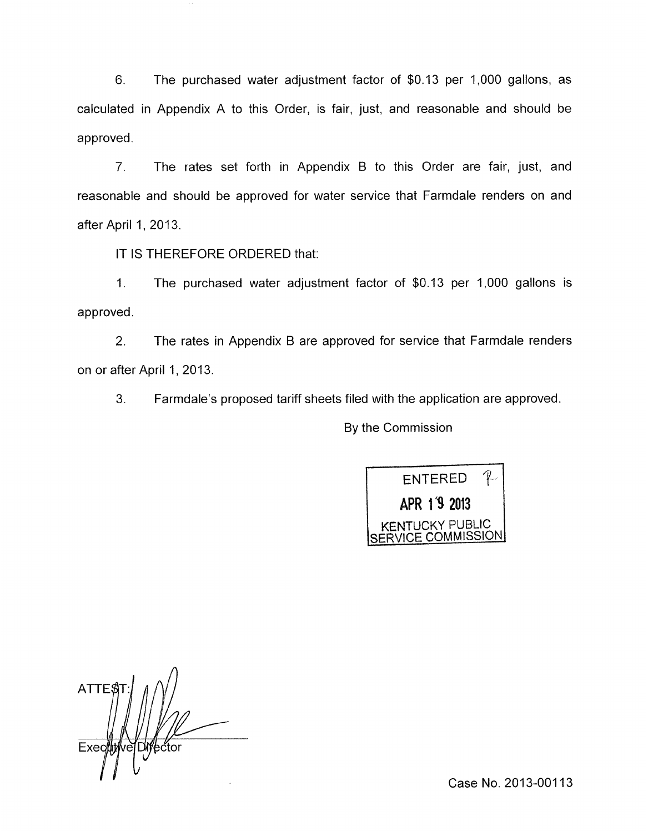6. The purchased water adjustment factor of \$0.13 per 1,000 gallons, as calculated in Appendix A to this Order, is fair, just, and reasonable and should be approved.

7. The rates set forth in Appendix B to this Order are fair, just, and reasonable and should be approved for water service that Farmdale renders on and after April 1, 2013.

IT IS THEREFORE ORDERED that:

1. The purchased water adjustment factor of \$0.13 per 1,000 gallons is approved.

2. The rates in Appendix B are approved for service that Farmdale renders on or after April 1, 2013.

3. Farmdale's proposed tariff sheets filed with the application are approved.

By the Commission



**A**  ATTE\$ Exec ⁄ector

Case No. 2013-00113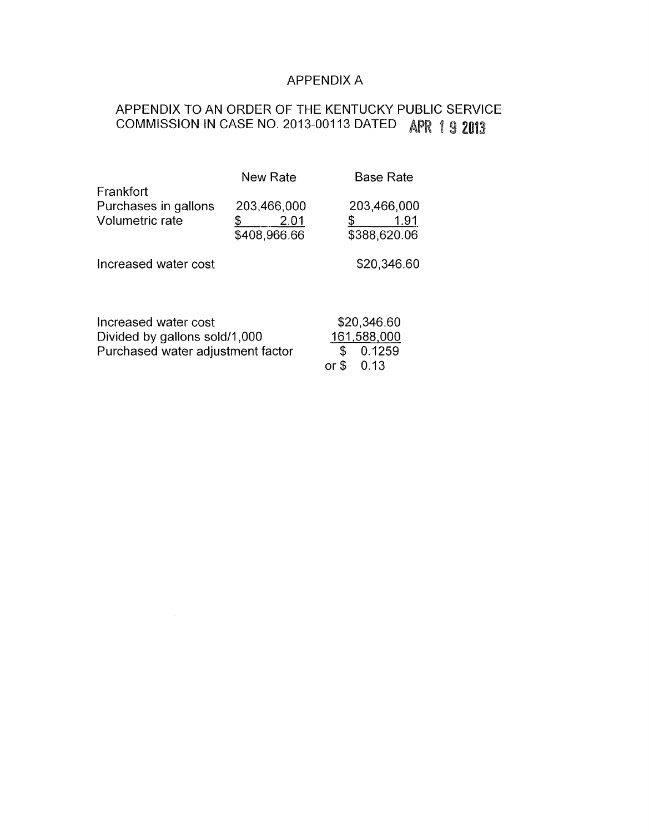## APPENDIX A

# APPENDIX TO AN ORDER OF THE KENTUCKY PUBLIC SERVICE COMMISSION IN CASE NO. 2013-00113 DATED APR 1 9 2013

|                                                                    | <b>New Rate</b> |             | <b>Base Rate</b> |
|--------------------------------------------------------------------|-----------------|-------------|------------------|
| Frankfort                                                          |                 |             |                  |
| Purchases in gallons                                               | 203,466,000     |             | 203,466,000      |
| Volumetric rate                                                    | 2.01            |             | 1.91             |
|                                                                    | \$408,966.66    |             | \$388,620.06     |
| Increased water cost                                               |                 |             | \$20,346.60      |
|                                                                    |                 |             |                  |
| Increased water cost                                               |                 |             | \$20,346.60      |
| Divided by gallons sold/1,000<br>Purchased water adjustment factor |                 | 161,588,000 |                  |
|                                                                    |                 | \$          | 0.1259           |
|                                                                    |                 | or          | 0.13             |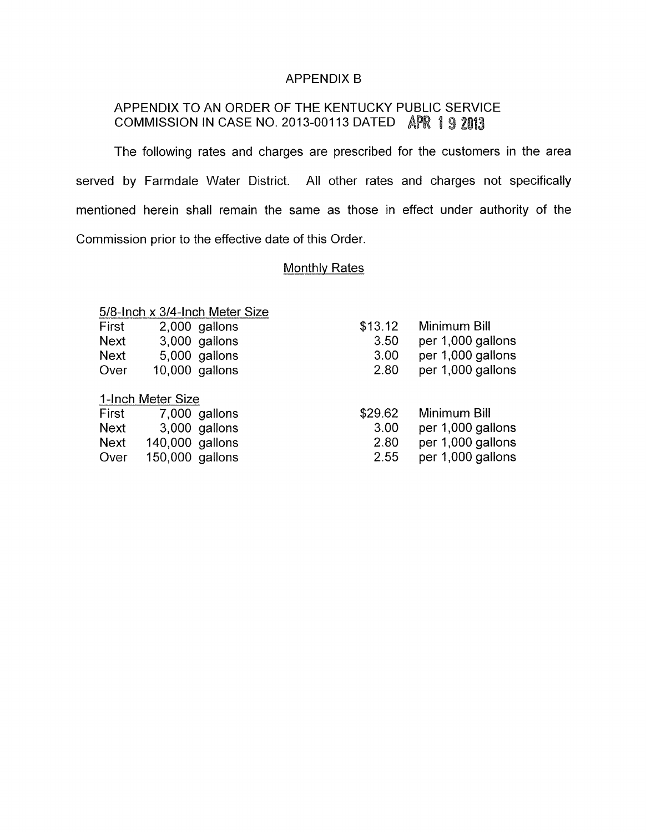#### APPENDIX B

## APPENDIX TO AN ORDER OF THE KENTUCKY PUBLIC SERVICE COMMISSION IN CASE NO. 2013-00113 DATED APR 1 9 2013

The following rates and charges are prescribed for the customers in the area served by Farmdale Water District. All other rates and charges not specifically mentioned herein shall remain the same as those in effect under authority of the Commission prior to the effective date of this Order.

### Monthly Rates

| First | 2,000 gallons  |
|-------|----------------|
| Next  | 3,000 gallons  |
| Next  | 5,000 gallons  |
| Over  | 10,000 gallons |

### I-Inch Meter Size

| First |                 | 7,000 gallons |
|-------|-----------------|---------------|
| Next  |                 | 3,000 gallons |
| Next  | 140,000 gallons |               |
| Over  | 150,000 gallons |               |

| \$13.12 | Minimum Bill      |
|---------|-------------------|
| 3.50    | per 1,000 gallons |
| 3.00    | per 1,000 gallons |
| 2.80    | per 1,000 gallons |
| \$29.62 | Minimum Bill      |
| 3.00    | per 1,000 gallons |
| 2.80    | per 1,000 gallons |

2.55 per 1,000 gallons